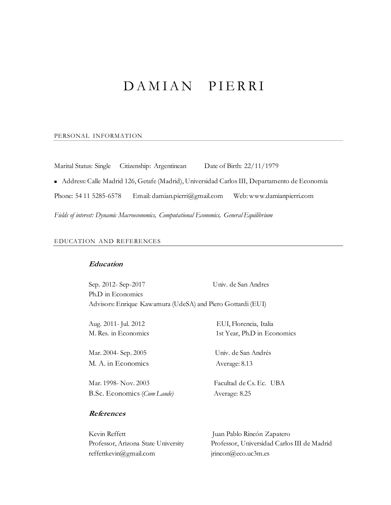# DAMIAN PIERRI

#### PERSONAL INFORMATION

Marital Status: Single Citizenship: Argentinean Date of Birth: 22/11/1979

■ Address: Calle Madrid 126, Getafe (Madrid), Universidad Carlos III, Departamento de Economía

Phone: 54 11 5285-6578 Email: damian.pierri@gmail.com Web: www.damianpierri.com

*Fields of interest: Dynamic Macroeconomics, Computational Economics, General Equilibrium*

### EDUCATION AND REFERENCES

# **Education**

Sep. 2012- Sep-2017 Univ. de San Andres Ph.D in Economics Advisors: Enrique Kawamura (UdeSA) and Piero Gottardi (EUI)

Mar. 2004- Sep. 2005 Univ. de San Andrés M. A. in Economics Average: 8.13

Mar. 1998- Nov. 2003 Facultad de Cs. Ec. UBA B.Sc. Economics (*Cum Laude)* Average: 8.25

Aug. 2011- Jul. 2012 EUI, Florencia, Italia M. Res. in Economics 1st Year, Ph.D in Economics

# **References**

| Kevin Reffett                       |
|-------------------------------------|
| Professor, Arizona State University |
| reffettkevin@gmail.com              |

Juan Pablo Rincón Zapatero Professor, Universidad Carlos III de Madrid  $irincon@ceo.uc3m.es$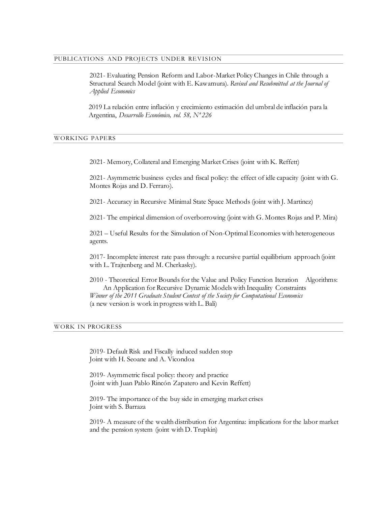### PUBLICATIONS AND PROJECTS UNDER REVISION

2021- Evaluating Pension Reform and Labor-Market Policy Changes in Chile through a Structural Search Model (joint with E. Kawamura). *Revised and Resubmitted at the Journal of Applied Economics*

2019 La relación entre inflación y crecimiento estimación del umbral de inflación para la Argentina, *Desarrollo Económico, vol. 58, Nº 226*

#### WORKING PAPERS

2021- Memory, Collateral and Emerging Market Crises (joint with K. Reffett)

2021- Asymmetric business cycles and fiscal policy: the effect of idle capacity (joint with G. Montes Rojas and D. Ferraro).

2021- Accuracy in Recursive Minimal State Space Methods (joint with J. Martinez)

2021- The empirical dimension of overborrowing (joint with G. Montes Rojas and P. Mira)

2021 – Useful Results for the Simulation of Non-Optimal Economies with heterogeneous agents.

2017- Incomplete interest rate pass through: a recursive partial equilibrium approach (joint with L. Trajtenberg and M. Cherkasky).

2010 - Theoretical Error Bounds for the Value and Policy Function Iteration Algorithms: An Application for Recursive Dynamic Models with Inequality Constraints *Winner of the 2011 Graduate Student Contest of the Society for Computational Economics* (a new version is work in progress with L. Bali)

# WORK IN PROGRESS

2019- Default Risk and Fiscally induced sudden stop Joint with H. Seoane and A. Vicondoa

2019- Asymmetric fiscal policy: theory and practice (Joint with Juan Pablo Rincón Zapatero and Kevin Reffett)

2019- The importance of the buy side in emerging market crises Joint with S. Barraza

2019- A measure of the wealth distribution for Argentina: implications for the labor market and the pension system (joint with D. Trupkin)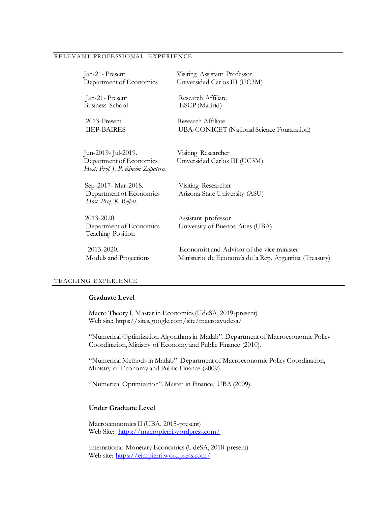## RELEVANT PROFESSIONAL EXPERIENCE

| Jan-21- Present                                               | Visiting Assistant Professor                           |
|---------------------------------------------------------------|--------------------------------------------------------|
| Department of Economics                                       | Universidad Carlos III (UC3M)                          |
| Jan-21- Present                                               | Research Affiliate                                     |
| <b>Business School</b>                                        | ESCP (Madrid)                                          |
| 2013-Present.                                                 | Research Affiliate                                     |
| <b>IIEP-BAIRES</b>                                            | UBA-CONICET (National Science Foundation)              |
|                                                               |                                                        |
| Jun-2019- Jul-2019.                                           | Visiting Researcher                                    |
| Department of Economics<br>Host: Prof. J. P. Rincón Zapatero. | Universidad Carlos III (UC3M)                          |
| Sep-2017- Mar-2018.                                           | Visiting Researcher                                    |
| Department of Economics<br>Host: Prof. K. Reffett.            | Arizona State University (ASU)                         |
| 2013-2020.                                                    | Assistant professor                                    |
| Department of Economics<br>Teaching Position                  | University of Buenos Aires (UBA)                       |
| 2013-2020.                                                    | Economist and Advisor of the vice minister             |
| Models and Projections                                        | Ministerio de Economía de la Rep. Argentina (Treasury) |

# TEACHING EXPERIENCE

# **Graduate Level**

Macro Theory I, Master in Economics (UdeSA, 2019-present) Web site: https://sites.google.com/site/macroavudesa/

"Numerical Optimization Algorithms in Matlab". Department of Macroeconomic Policy Coordination, Ministry of Economy and Public Finance (2010).

"Numerical Methods in Matlab". Department of Macroeconomic Policy Coordination, Ministry of Economy and Public Finance (2009).

"Numerical Optimization". Master in Finance, UBA (2009).

# **Under Graduate Level**

Macroeconomics II (UBA, 2015-present) Web Site: <https://macropierri.wordpress.com/>

International Monetary Economics (UdeSA, 2018-present) Web site:<https://eimpierri.wordpress.com/>